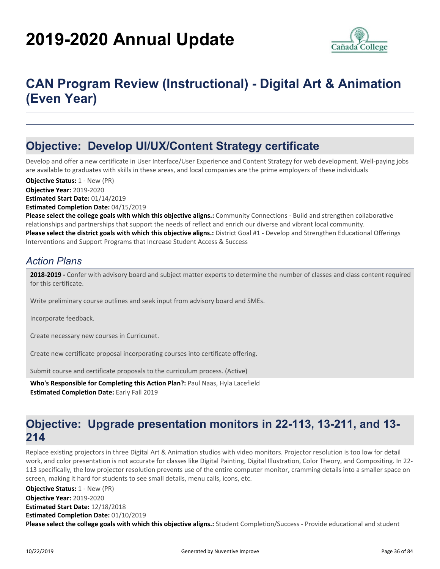# **2019-2020 Annual Update**



# **CAN Program Review (Instructional) - Digital Art & Animation (Even Year)**

# **Objective: Develop UI/UX/Content Strategy certificate**

Develop and offer a new certificate in User Interface/User Experience and Content Strategy for web development. Well-paying jobs are available to graduates with skills in these areas, and local companies are the prime employers of these individuals

**Objective Year:** 2019-2020 **Estimated Start Date:** 01/14/2019 **Estimated Completion Date:** 04/15/2019 **Objective Status: 1 - New (PR)** 

**Please select the college goals with which this objective aligns.:** Community Connections - Build and strengthen collaborative relationships and partnerships that support the needs of reflect and enrich our diverse and vibrant local community. **Please select the district goals with which this objective aligns.:** District Goal #1 - Develop and Strengthen Educational Offerings Interventions and Support Programs that Increase Student Access & Success

### *Action Plans*

**2018-2019 -** Confer with advisory board and subject matter experts to determine the number of classes and class content required for this certificate.

Write preliminary course outlines and seek input from advisory board and SMEs.

Incorporate feedback.

Create necessary new courses in Curricunet.

Create new certificate proposal incorporating courses into certificate offering.

Submit course and certificate proposals to the curriculum process. (Active)

**Who's Responsible for Completing this Action Plan?:** Paul Naas, Hyla Lacefield **Estimated Completion Date:** Early Fall 2019

## **Objective: Upgrade presentation monitors in 22-113, 13-211, and 13- 214**

Replace existing projectors in three Digital Art & Animation studios with video monitors. Projector resolution is too low for detail work, and color presentation is not accurate for classes like Digital Painting, Digital Illustration, Color Theory, and Compositing. In 22- 113 specifically, the low projector resolution prevents use of the entire computer monitor, cramming details into a smaller space on screen, making it hard for students to see small details, menu calls, icons, etc.

**Please select the college goals with which this objective aligns.:** Student Completion/Success - Provide educational and student **Objective Year:** 2019-2020 **Estimated Start Date:** 12/18/2018 **Estimated Completion Date:** 01/10/2019 **Objective Status:** 1 - New (PR)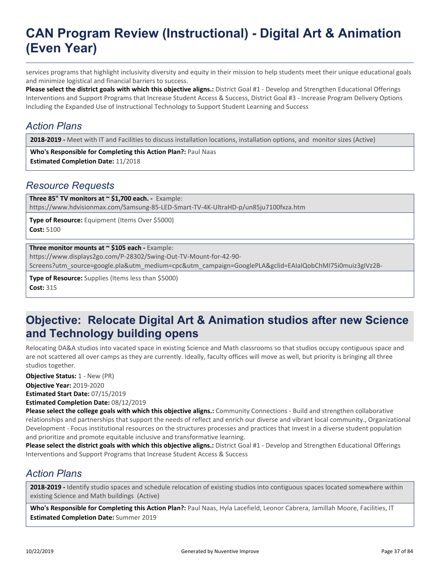services programs that highlight inclusivity diversity and equity in their mission to help students meet their unique educational goals and minimize logistical and financial barriers to success.

**Please select the district goals with which this objective aligns.:** District Goal #1 - Develop and Strengthen Educational Offerings Interventions and Support Programs that Increase Student Access & Success, District Goal #3 - Increase Program Delivery Options Including the Expanded Use of Instructional Technology to Support Student Learning and Success

### *Action Plans*

**2018-2019 -** Meet with IT and Facilities to discuss installation locations, installation options, and monitor sizes (Active)

**Who's Responsible for Completing this Action Plan?:** Paul Naas **Estimated Completion Date:** 11/2018

### *Resource Requests*

**Three 85" TV monitors at ~ \$1,700 each. -** Example: https://www.hdvisionmax.com/Samsung-85-LED-Smart-TV-4K-UltraHD-p/un85ju7100fxza.htm

**Type of Resource:** Equipment (Items Over \$5000) **Cost:** 5100

#### **Three monitor mounts at ~ \$105 each - Example:**

https://www.displays2go.com/P-28302/Swing-Out-TV-Mount-for-42-90-

Screens?utm\_source=google.pla&utm\_medium=cpc&utm\_campaign=GooglePLA&gclid=EAIaIQobChMI75i0muiz3gIVz2B-

**Type of Resource:** Supplies (Items less than \$5000) **Cost:** 315

## **Objective: Relocate Digital Art & Animation studios after new Science and Technology building opens**

Relocating DA&A studios into vacated space in existing Science and Math classrooms so that studios occupy contiguous space and are not scattered all over camps as they are currently. Ideally, faculty offices will move as well, but priority is bringing all three studios together.

**Objective Status:** 1 - New (PR)

**Objective Year:** 2019-2020 **Estimated Start Date:** 07/15/2019

**Estimated Completion Date:** 08/12/2019

**Please select the college goals with which this objective aligns.:** Community Connections - Build and strengthen collaborative relationships and partnerships that support the needs of reflect and enrich our diverse and vibrant local community., Organizational Development - Focus institutional resources on the structures processes and practices that invest in a diverse student population and prioritize and promote equitable inclusive and transformative learning.

**Please select the district goals with which this objective aligns.:** District Goal #1 - Develop and Strengthen Educational Offerings Interventions and Support Programs that Increase Student Access & Success

### *Action Plans*

**2018-2019 -** Identify studio spaces and schedule relocation of existing studios into contiguous spaces located somewhere within existing Science and Math buildings (Active)

**Who's Responsible for Completing this Action Plan?:** Paul Naas, Hyla Lacefield, Leonor Cabrera, Jamillah Moore, Facilities, IT **Estimated Completion Date:** Summer 2019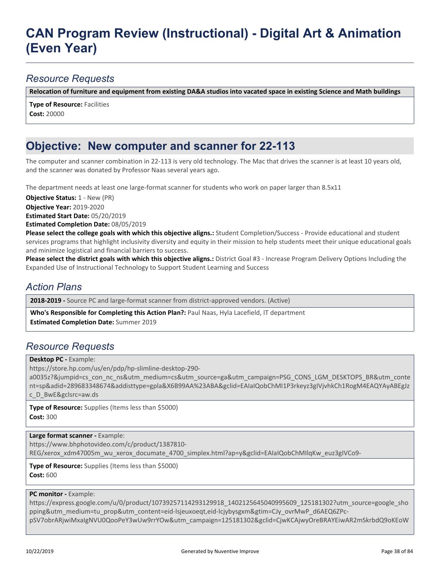### *Resource Requests*

**Relocation of furniture and equipment from existing DA&A studios into vacated space in existing Science and Math buildings**

**Type of Resource: Facilities Cost:** 20000

## **Objective: New computer and scanner for 22-113**

The computer and scanner combination in 22-113 is very old technology. The Mac that drives the scanner is at least 10 years old, and the scanner was donated by Professor Naas several years ago.

The department needs at least one large-format scanner for students who work on paper larger than 8.5x11

**Objective Status:** 1 - New (PR)

**Objective Year:** 2019-2020

**Estimated Start Date:** 05/20/2019

**Estimated Completion Date:** 08/05/2019

**Please select the college goals with which this objective aligns.:** Student Completion/Success - Provide educational and student services programs that highlight inclusivity diversity and equity in their mission to help students meet their unique educational goals and minimize logistical and financial barriers to success.

**Please select the district goals with which this objective aligns.:** District Goal #3 - Increase Program Delivery Options Including the Expanded Use of Instructional Technology to Support Student Learning and Success

### *Action Plans*

**2018-2019 -** Source PC and large-format scanner from district-approved vendors. (Active)

**Who's Responsible for Completing this Action Plan?:** Paul Naas, Hyla Lacefield, IT department **Estimated Completion Date:** Summer 2019

### *Resource Requests*

**Desktop PC -** Example:

https://store.hp.com/us/en/pdp/hp-slimline-desktop-290-

a0035z?&jumpid=cs\_con\_nc\_ns&utm\_medium=cs&utm\_source=ga&utm\_campaign=PSG\_CONS\_LGM\_DESKTOPS\_BR&utm\_conte nt=sp&adid=289683348674&addisttype=gpla&X6B99AA%23ABA&gclid=EAIaIQobChMI1P3rkeyz3gIVjvhkCh1RogM4EAQYAyABEgJz c\_D\_BwE&gclsrc=aw.ds

**Type of Resource:** Supplies (Items less than \$5000) **Cost:** 300

**Large format scanner -** Example:

https://www.bhphotovideo.com/c/product/1387810-

REG/xerox\_xdm47005m\_wu\_xerox\_documate\_4700\_simplex.html?ap=y&gclid=EAIaIQobChMIlqKw\_euz3gIVCo9-

**Type of Resource:** Supplies (Items less than \$5000) **Cost:** 600

#### **PC monitor - Example:**

https://express.google.com/u/0/product/10739257114293129918\_1402125645040995609\_125181302?utm\_source=google\_sho pping&utm\_medium=tu\_prop&utm\_content=eid-lsjeuxoeqt,eid-lcjybysgxm&gtim=CJy\_ovrMwP\_d6AEQ6ZPc-

pSV7obrARjwiMxaIgNVU0QooPeY3wUw9rrYOw&utm\_campaign=125181302&gclid=CjwKCAjwyOreBRAYEiwAR2mSkrbdQ9oKEoW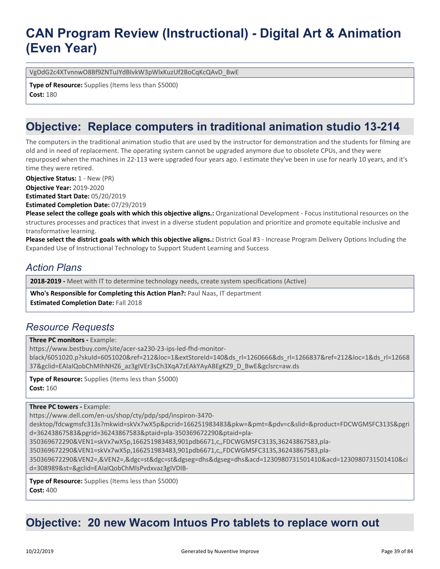VgDdG2c4XTvnnwO8Bf9ZNTuJYdBIvkW3pWlxKuzUf2BoCqKcQAvD\_BwE

**Type of Resource:** Supplies (Items less than \$5000) **Cost:** 180

## **Objective: Replace computers in traditional animation studio 13-214**

The computers in the traditional animation studio that are used by the instructor for demonstration and the students for filming are old and in need of replacement. The operating system cannot be upgraded anymore due to obsolete CPUs, and they were repurposed when the machines in 22-113 were upgraded four years ago. I estimate they've been in use for nearly 10 years, and it's time they were retired.

**Objective Status:** 1 - New (PR)

**Objective Year:** 2019-2020 **Estimated Start Date:** 05/20/2019

**Estimated Completion Date:** 07/29/2019

**Please select the college goals with which this objective aligns.:** Organizational Development - Focus institutional resources on the structures processes and practices that invest in a diverse student population and prioritize and promote equitable inclusive and transformative learning.

**Please select the district goals with which this objective aligns.:** District Goal #3 - Increase Program Delivery Options Including the Expanded Use of Instructional Technology to Support Student Learning and Success

### *Action Plans*

**2018-2019 -** Meet with IT to determine technology needs, create system specifications (Active)

**Who's Responsible for Completing this Action Plan?:** Paul Naas, IT department **Estimated Completion Date:** Fall 2018

#### *Resource Requests*

**Three PC monitors - Example:** 

https://www.bestbuy.com/site/acer-sa230-23-ips-led-fhd-monitor-

black/6051020.p?skuId=6051020&ref=212&loc=1&extStoreId=140&ds\_rl=1260666&ds\_rl=1266837&ref=212&loc=1&ds\_rl=12668 37&gclid=EAIaIQobChMIhNHZ6\_az3gIVEr3sCh3XqA7zEAkYAyABEgKZ9\_D\_BwE&gclsrc=aw.ds

**Type of Resource:** Supplies (Items less than \$5000) **Cost:** 160

#### **Three PC towers -** Example:

https://www.dell.com/en-us/shop/cty/pdp/spd/inspiron-3470-

desktop/fdcwgmsfc313s?mkwid=skVx7wX5p&pcrid=166251983483&pkw=&pmt=&pdv=c&slid=&product=FDCWGMSFC313S&pgri d=36243867583&pgrid=36243867583&ptaid=pla-350369672290&ptaid=pla-

350369672290&VEN1=skVx7wX5p,166251983483,901pdb6671,c,,FDCWGMSFC313S,36243867583,pla-

350369672290&VEN1=skVx7wX5p,166251983483,901pdb6671,c,,FDCWGMSFC313S,36243867583,pla-

350369672290&VEN2=,&VEN2=,&dgc=st&dgc=st&dgseg=dhs&dgseg=dhs&acd=1230980731501410&acd=1230980731501410&ci d=308989&st=&gclid=EAIaIQobChMIsPvdxvaz3gIVDIB-

**Type of Resource:** Supplies (Items less than \$5000) **Cost:** 400

# **Objective: 20 new Wacom Intuos Pro tablets to replace worn out**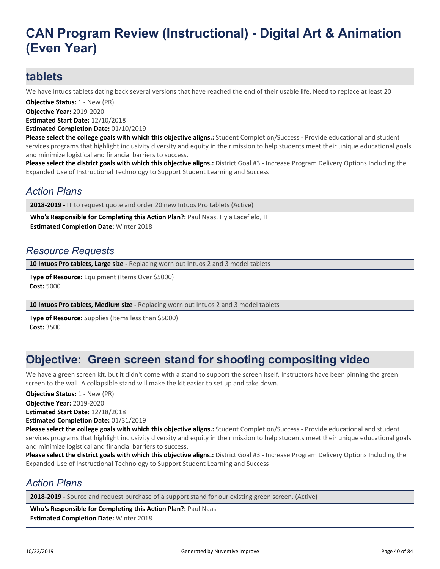## **tablets**

We have Intuos tablets dating back several versions that have reached the end of their usable life. Need to replace at least 20

**Objective Status:** 1 - New (PR)

**Objective Year:** 2019-2020 **Estimated Start Date:** 12/10/2018

**Estimated Completion Date:** 01/10/2019

**Please select the college goals with which this objective aligns.:** Student Completion/Success - Provide educational and student services programs that highlight inclusivity diversity and equity in their mission to help students meet their unique educational goals and minimize logistical and financial barriers to success.

**Please select the district goals with which this objective aligns.:** District Goal #3 - Increase Program Delivery Options Including the Expanded Use of Instructional Technology to Support Student Learning and Success

### *Action Plans*

**2018-2019 -** IT to request quote and order 20 new Intuos Pro tablets (Active)

**Who's Responsible for Completing this Action Plan?:** Paul Naas, Hyla Lacefield, IT

**Estimated Completion Date:** Winter 2018

### *Resource Requests*

**10 Intuos Pro tablets, Large size -** Replacing worn out Intuos 2 and 3 model tablets

**Type of Resource:** Equipment (Items Over \$5000) **Cost:** 5000

**10 Intuos Pro tablets, Medium size -** Replacing worn out Intuos 2 and 3 model tablets

**Type of Resource:** Supplies (Items less than \$5000) **Cost:** 3500

# **Objective: Green screen stand for shooting compositing video**

We have a green screen kit, but it didn't come with a stand to support the screen itself. Instructors have been pinning the green screen to the wall. A collapsible stand will make the kit easier to set up and take down.

**Objective Status:** 1 - New (PR)

**Objective Year:** 2019-2020

**Estimated Start Date:** 12/18/2018

**Estimated Completion Date:** 01/31/2019

**Please select the college goals with which this objective aligns.:** Student Completion/Success - Provide educational and student services programs that highlight inclusivity diversity and equity in their mission to help students meet their unique educational goals and minimize logistical and financial barriers to success.

**Please select the district goals with which this objective aligns.:** District Goal #3 - Increase Program Delivery Options Including the Expanded Use of Instructional Technology to Support Student Learning and Success

### *Action Plans*

**2018-2019 -** Source and request purchase of a support stand for our existing green screen. (Active)

**Who's Responsible for Completing this Action Plan?:** Paul Naas **Estimated Completion Date:** Winter 2018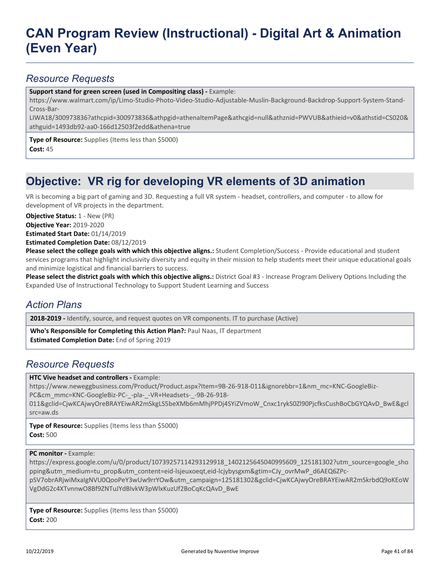### *Resource Requests*

**Support stand for green screen (used in Compositing class) -** Example:

https://www.walmart.com/ip/Limo-Studio-Photo-Video-Studio-Adjustable-Muslin-Background-Backdrop-Support-System-Stand-Cross-Bar-

LIWA18/300973836?athcpid=300973836&athpgid=athenaItemPage&athcgid=null&athznid=PWVUB&athieid=v0&athstid=CS020& athguid=1493db92-aa0-166d12503f2edd&athena=true

**Type of Resource:** Supplies (Items less than \$5000) **Cost:** 45

# **Objective: VR rig for developing VR elements of 3D animation**

VR is becoming a big part of gaming and 3D. Requesting a full VR system - headset, controllers, and computer - to allow for development of VR projects in the department.

**Objective Status: 1 - New (PR)** 

**Objective Year:** 2019-2020

**Estimated Start Date:** 01/14/2019

**Estimated Completion Date:** 08/12/2019

**Please select the college goals with which this objective aligns.:** Student Completion/Success - Provide educational and student services programs that highlight inclusivity diversity and equity in their mission to help students meet their unique educational goals and minimize logistical and financial barriers to success.

**Please select the district goals with which this objective aligns.:** District Goal #3 - Increase Program Delivery Options Including the Expanded Use of Instructional Technology to Support Student Learning and Success

### *Action Plans*

2018-2019 - Identify, source, and request quotes on VR components. IT to purchase (Active)

**Who's Responsible for Completing this Action Plan?:** Paul Naas, IT department **Estimated Completion Date:** End of Spring 2019

### *Resource Requests*

**HTC Vive headset and controllers - Example:** 

https://www.neweggbusiness.com/Product/Product.aspx?Item=9B-26-918-011&ignorebbr=1&nm\_mc=KNC-GoogleBiz-PC&cm\_mmc=KNC-GoogleBiz-PC-\_-pla-\_-VR+Headsets-\_-9B-26-918-

011&gclid=CjwKCAjwyOreBRAYEiwAR2mSkgLS5beXMb6mMhjPPDj4SYiZVmoW\_Cnxc1rykS0Zl90PjcfksCushBoCbGYQAvD\_BwE&gcl src=aw.ds

**Type of Resource:** Supplies (Items less than \$5000) **Cost:** 500

**PC monitor - Example:** 

https://express.google.com/u/0/product/10739257114293129918\_1402125645040995609\_125181302?utm\_source=google\_sho pping&utm\_medium=tu\_prop&utm\_content=eid-lsjeuxoeqt,eid-lcjybysgxm&gtim=CJy\_ovrMwP\_d6AEQ6ZPcpSV7obrARjwiMxaIgNVU0QooPeY3wUw9rrYOw&utm\_campaign=125181302&gclid=CjwKCAjwyOreBRAYEiwAR2mSkrbdQ9oKEoW

VgDdG2c4XTvnnwO8Bf9ZNTuJYdBIvkW3pWlxKuzUf2BoCqKcQAvD\_BwE

**Type of Resource:** Supplies (Items less than \$5000) **Cost:** 200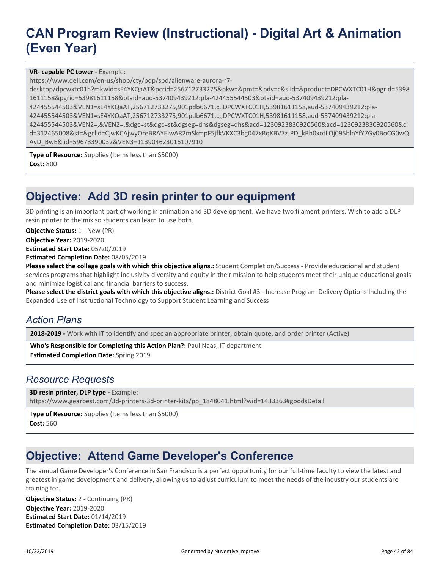#### **VR- capable PC tower -** Example:

https://www.dell.com/en-us/shop/cty/pdp/spd/alienware-aurora-r7-

desktop/dpcwxtc01h?mkwid=sE4YKQaAT&pcrid=256712733275&pkw=&pmt=&pdv=c&slid=&product=DPCWXTC01H&pgrid=5398 1611158&pgrid=53981611158&ptaid=aud-537409439212:pla-424455544503&ptaid=aud-537409439212:pla-

424455544503&VEN1=sE4YKQaAT,256712733275,901pdb6671,c,,DPCWXTC01H,53981611158,aud-537409439212:pla-

424455544503&VEN1=sE4YKQaAT,256712733275,901pdb6671,c,,DPCWXTC01H,53981611158,aud-537409439212:pla-

424455544503&VEN2=,&VEN2=,&dgc=st&dgc=st&dgseg=dhs&dgseg=dhs&acd=1230923830920560&acd=1230923830920560&ci d=312465008&st=&gclid=CjwKCAjwyOreBRAYEiwAR2mSkmpF5jfkVKXC3bg047xRqKBV7zJPD\_kRh0xotLOj095blnYfY7Gy0BoCG0wQ AvD\_BwE&lid=59673390032&VEN3=113904623016107910

**Type of Resource:** Supplies (Items less than \$5000) **Cost:** 800

## **Objective: Add 3D resin printer to our equipment**

3D printing is an important part of working in animation and 3D development. We have two filament printers. Wish to add a DLP resin printer to the mix so students can learn to use both.

**Objective Status: 1 - New (PR)** 

**Objective Year:** 2019-2020

**Estimated Start Date:** 05/20/2019

**Estimated Completion Date:** 08/05/2019

**Please select the college goals with which this objective aligns.:** Student Completion/Success - Provide educational and student services programs that highlight inclusivity diversity and equity in their mission to help students meet their unique educational goals and minimize logistical and financial barriers to success.

**Please select the district goals with which this objective aligns.:** District Goal #3 - Increase Program Delivery Options Including the Expanded Use of Instructional Technology to Support Student Learning and Success

### *Action Plans*

**2018-2019 -** Work with IT to identify and spec an appropriate printer, obtain quote, and order printer (Active)

**Who's Responsible for Completing this Action Plan?:** Paul Naas, IT department **Estimated Completion Date:** Spring 2019

#### *Resource Requests*

**3D resin printer, DLP type -** Example:

https://www.gearbest.com/3d-printers-3d-printer-kits/pp\_1848041.html?wid=1433363#goodsDetail

**Type of Resource:** Supplies (Items less than \$5000) **Cost:** 560

## **Objective: Attend Game Developer's Conference**

The annual Game Developer's Conference in San Francisco is a perfect opportunity for our full-time faculty to view the latest and greatest in game development and delivery, allowing us to adjust curriculum to meet the needs of the industry our students are training for.

**Objective Year:** 2019-2020 **Estimated Start Date:** 01/14/2019 **Estimated Completion Date:** 03/15/2019 **Objective Status:** 2 - Continuing (PR)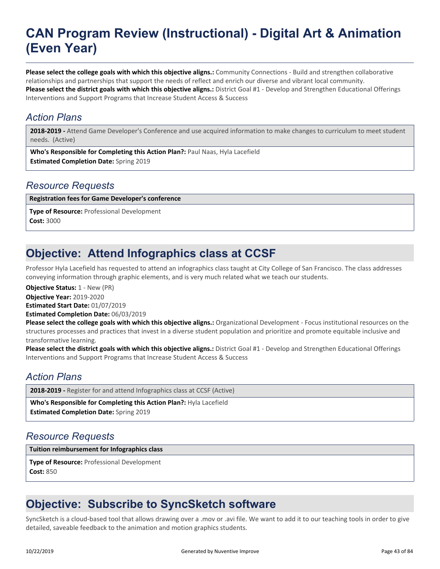**Please select the college goals with which this objective aligns.:** Community Connections - Build and strengthen collaborative relationships and partnerships that support the needs of reflect and enrich our diverse and vibrant local community. **Please select the district goals with which this objective aligns.:** District Goal #1 - Develop and Strengthen Educational Offerings Interventions and Support Programs that Increase Student Access & Success

### *Action Plans*

**2018-2019 -** Attend Game Developer's Conference and use acquired information to make changes to curriculum to meet student needs. (Active)

**Who's Responsible for Completing this Action Plan?:** Paul Naas, Hyla Lacefield **Estimated Completion Date:** Spring 2019

### *Resource Requests*

**Registration fees for Game Developer's conference**

**Type of Resource:** Professional Development **Cost:** 3000

# **Objective: Attend Infographics class at CCSF**

Professor Hyla Lacefield has requested to attend an infographics class taught at City College of San Francisco. The class addresses conveying information through graphic elements, and is very much related what we teach our students.

**Objective Status:** 1 - New (PR)

**Objective Year:** 2019-2020

**Estimated Start Date:** 01/07/2019

**Estimated Completion Date:** 06/03/2019

**Please select the college goals with which this objective aligns.:** Organizational Development - Focus institutional resources on the structures processes and practices that invest in a diverse student population and prioritize and promote equitable inclusive and transformative learning.

**Please select the district goals with which this objective aligns.:** District Goal #1 - Develop and Strengthen Educational Offerings Interventions and Support Programs that Increase Student Access & Success

### *Action Plans*

**2018-2019 -** Register for and attend Infographics class at CCSF (Active)

**Who's Responsible for Completing this Action Plan?:** Hyla Lacefield

**Estimated Completion Date:** Spring 2019

### *Resource Requests*

**Tuition reimbursement for Infographics class**

**Type of Resource:** Professional Development **Cost:** 850

# **Objective: Subscribe to SyncSketch software**

SyncSketch is a cloud-based tool that allows drawing over a .mov or .avi file. We want to add it to our teaching tools in order to give detailed, saveable feedback to the animation and motion graphics students.